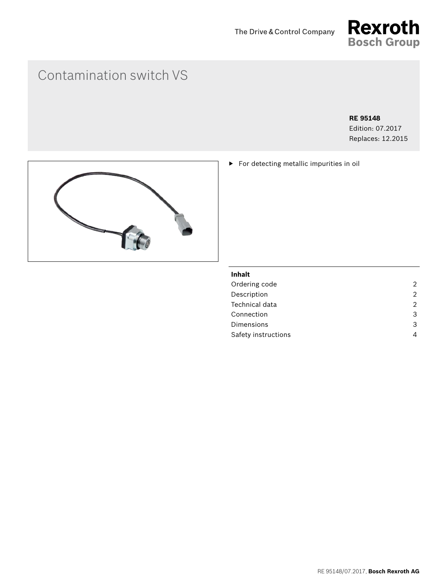

# Contamination switch VS

## **RE 95148**

Edition: 07.2017 Replaces: 12.2015

▶ For detecting metallic impurities in oil



## **Inhalt**

| Ordering code       | 2 |
|---------------------|---|
| Description         | 2 |
| Technical data      | 2 |
| Connection          | 3 |
| Dimensions          | 3 |
| Safety instructions | Δ |
|                     |   |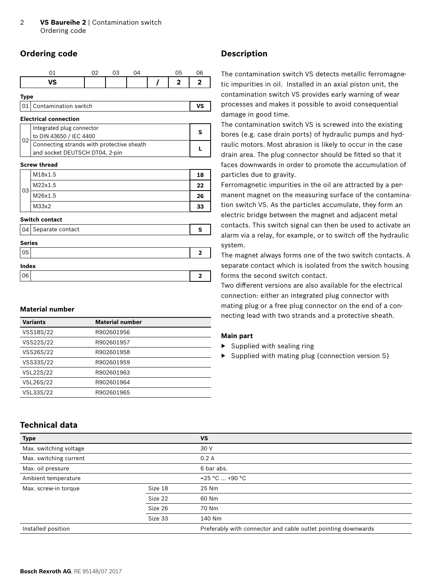## <span id="page-1-0"></span>**Ordering code**

|      |                 | ∩∩ | 03 |  | $\sim$ $-$<br>ל ( |  |
|------|-----------------|----|----|--|-------------------|--|
|      | <b>VC</b><br>د. |    |    |  | າ                 |  |
| Tyne |                 |    |    |  |                   |  |

| . |  |                         |  |  |
|---|--|-------------------------|--|--|
|   |  | 01 Contamination switch |  |  |

#### **Electrical connection**

| Integrated plug connector<br>to DIN 43650 / IEC 4400 |  |
|------------------------------------------------------|--|
| Connecting strands with protective sheath            |  |
| and socket DEUTSCH DT04, 2-pin                       |  |

#### **Screw thread**

| 03 | M18x1.5 | 18 |
|----|---------|----|
|    | M22x1.5 | 22 |
|    | M26x1.5 | 26 |
|    | M33x2   | 33 |

#### **Switch contact**

|               | 04 Separate contact | s |  |  |
|---------------|---------------------|---|--|--|
| <b>Series</b> |                     |   |  |  |
| , 05          |                     | 2 |  |  |
| Index         |                     |   |  |  |
| 06            |                     | п |  |  |

## **Material number**

| <b>Variants</b> | <b>Material number</b> |
|-----------------|------------------------|
| VSS18S/22       | R902601956             |
| VSS22S/22       | R902601957             |
| VSS26S/22       | R902601958             |
| VSS33S/22       | R902601959             |
| VSL22S/22       | R902601963             |
| VSL26S/22       | R902601964             |
| VSL33S/22       | R902601965             |

## **Technical data**

## **Description**

The contamination switch VS detects metallic ferromagnetic impurities in oil. Installed in an axial piston unit, the contamination switch VS provides early warning of wear processes and makes it possible to avoid consequential damage in good time.

The contamination switch VS is screwed into the existing bores (e.g. case drain ports) of hydraulic pumps and hydraulic motors. Most abrasion is likely to occur in the case drain area. The plug connector should be fitted so that it faces downwards in order to promote the accumulation of particles due to gravity.

Ferromagnetic impurities in the oil are attracted by a permanent magnet on the measuring surface of the contamination switch VS. As the particles accumulate, they form an electric bridge between the magnet and adjacent metal contacts. This switch signal can then be used to activate an alarm via a relay, for example, or to switch off the hydraulic system.

The magnet always forms one of the two switch contacts. A separate contact which is isolated from the switch housing forms the second switch contact.

Two different versions are also available for the electrical connection: either an integrated plug connector with mating plug or a free plug connector on the end of a connecting lead with two strands and a protective sheath.

## **Main part**

- ▶ Supplied with sealing ring
- ▶ Supplied with mating plug (connection version S)

| <b>Type</b>                     |         | <b>VS</b>                                                     |
|---------------------------------|---------|---------------------------------------------------------------|
| Max. switching voltage          |         | 30 V                                                          |
| Max. switching current          |         | 0.2A                                                          |
| Max. oil pressure               |         | 6 bar abs.                                                    |
| Ambient temperature             |         | $-25 °C  +90 °C$                                              |
| Size 18<br>Max. screw-in torque |         | 25 Nm                                                         |
|                                 | Size 22 | 60 Nm                                                         |
|                                 | Size 26 | 70 Nm                                                         |
|                                 | Size 33 | 140 Nm                                                        |
| Installed position              |         | Preferably with connector and cable outlet pointing downwards |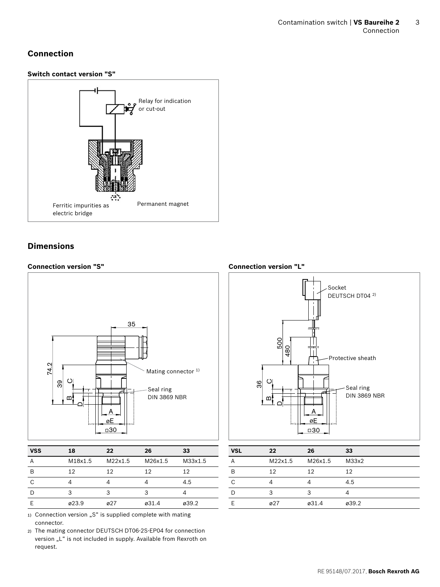## <span id="page-2-0"></span>**Connection**

## **Switch contact version "S"**



## **Dimensions**

## **Connection version "S"** A 35 Dമ  $\circ$ 39 74.2 øE □30 Mating connector  $1$ ) Seal ring DIN 3869 NBR

| <b>VSS</b> | 18      | 22               | 26      | 33      |
|------------|---------|------------------|---------|---------|
| A          | M18x1.5 | M22x1.5          | M26x1.5 | M33x1.5 |
| B          | 12      | 12               | 12      | 12      |
| C          |         |                  |         | 4.5     |
| D          | 3       | 3                | 3       |         |
| F          | ø23.9   | $\varnothing$ 27 | ø31.4   | ø39.2   |
|            |         |                  |         |         |

1) Connection version "S" is supplied complete with mating connector.

2) The mating connector DEUTSCH DT06-2S-EP04 for connection version "L" is not included in supply. Available from Rexroth on request.

**Connection version "L"**



| <b>VSL</b> | 22               | 26      | 33                |
|------------|------------------|---------|-------------------|
| A          | M22x1.5          | M26x1.5 | M <sub>33x2</sub> |
| B          | 12               | 12      | 12                |
| C          |                  |         | 4.5               |
| Ð          | 3                |         |                   |
|            | $\varnothing$ 27 | ø31.4   | ø39.2             |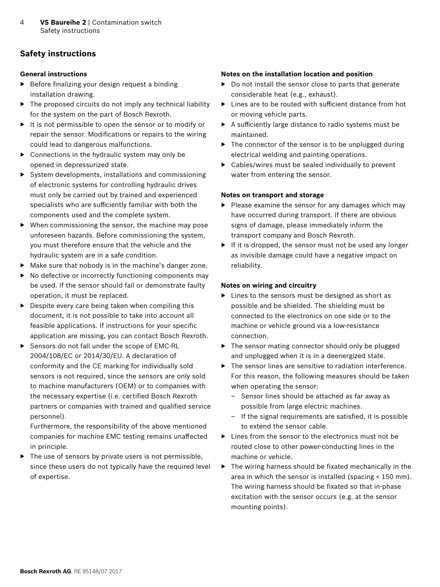## <span id="page-3-0"></span>**Safety instructions**

## **General instructions**

- ▶ Before finalizing your design request a binding installation drawing.
- ▶ The proposed circuits do not imply any technical liability for the system on the part of Bosch Rexroth.
- ▶ It is not permissible to open the sensor or to modify or repair the sensor. Modifications or repairs to the wiring could lead to dangerous malfunctions.
- $\triangleright$  Connections in the hydraulic system may only be opened in depressurized state.
- ▶ System developments, installations and commissioning of electronic systems for controlling hydraulic drives must only be carried out by trained and experienced specialists who are sufficiently familiar with both the components used and the complete system.
- ▶ When commissioning the sensor, the machine may pose unforeseen hazards. Before commissioning the system, you must therefore ensure that the vehicle and the hydraulic system are in a safe condition.
- ▶ Make sure that nobody is in the machine's danger zone.
- ▶ No defective or incorrectly functioning components may be used. If the sensor should fail or demonstrate faulty operation, it must be replaced.
- $\triangleright$  Despite every care being taken when compiling this document, it is not possible to take into account all feasible applications. If instructions for your specific application are missing, you can contact Bosch Rexroth.
- ▶ Sensors do not fall under the scope of EMC-RL 2004/108/EC or 2014/30/EU. A declaration of conformity and the CE marking for individually sold sensors is not required, since the sensors are only sold to machine manufacturers (OEM) or to companies with the necessary expertise (i.e. certified Bosch Rexroth partners or companies with trained and qualified service personnel).

Furthermore, the responsibility of the above mentioned companies for machine EMC testing remains unaffected in principle.

▶ The use of sensors by private users is not permissible, since these users do not typically have the required level of expertise.

## **Notes on the installation location and position**

- ▶ Do not install the sensor close to parts that generate considerable heat (e.g., exhaust).
- ▶ Lines are to be routed with sufficient distance from hot or moving vehicle parts.
- ▶ A sufficiently large distance to radio systems must be maintained.
- $\triangleright$  The connector of the sensor is to be unplugged during electrical welding and painting operations.
- $\triangleright$  Cables/wires must be sealed individually to prevent water from entering the sensor.

## **Notes on transport and storage**

- ▶ Please examine the sensor for any damages which may have occurred during transport. If there are obvious signs of damage, please immediately inform the transport company and Bosch Rexroth.
- ▶ If it is dropped, the sensor must not be used any longer as invisible damage could have a negative impact on reliability.

## **Notes on wiring and circuitry**

- ▶ Lines to the sensors must be designed as short as possible and be shielded. The shielding must be connected to the electronics on one side or to the machine or vehicle ground via a low-resistance connection.
- ▶ The sensor mating connector should only be plugged and unplugged when it is in a deenergized state.
- ▶ The sensor lines are sensitive to radiation interference. For this reason, the following measures should be taken when operating the sensor:
	- Sensor lines should be attached as far away as possible from large electric machines.
	- If the signal requirements are satisfied, it is possible to extend the sensor cable.
- ▶ Lines from the sensor to the electronics must not be routed close to other power-conducting lines in the machine or vehicle.
- ▶ The wiring harness should be fixated mechanically in the area in which the sensor is installed (spacing < 150 mm). The wiring harness should be fixated so that in-phase excitation with the sensor occurs (e.g. at the sensor mounting points).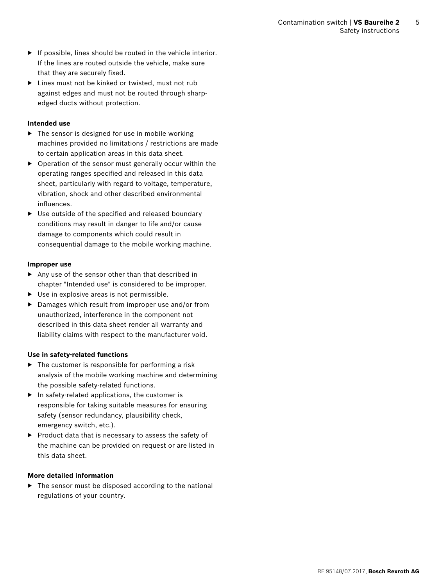- $\blacktriangleright$  If possible, lines should be routed in the vehicle interior. If the lines are routed outside the vehicle, make sure that they are securely fixed.
- ▶ Lines must not be kinked or twisted, must not rub against edges and must not be routed through sharpedged ducts without protection.

#### **Intended use**

- ▶ The sensor is designed for use in mobile working machines provided no limitations / restrictions are made to certain application areas in this data sheet.
- ▶ Operation of the sensor must generally occur within the operating ranges specified and released in this data sheet, particularly with regard to voltage, temperature, vibration, shock and other described environmental influences.
- ▶ Use outside of the specified and released boundary conditions may result in danger to life and/or cause damage to components which could result in consequential damage to the mobile working machine.

#### **Improper use**

- ▶ Any use of the sensor other than that described in chapter "Intended use" is considered to be improper.
- ▶ Use in explosive areas is not permissible.
- ▶ Damages which result from improper use and/or from unauthorized, interference in the component not described in this data sheet render all warranty and liability claims with respect to the manufacturer void.

## **Use in safety-related functions**

- $\triangleright$  The customer is responsible for performing a risk analysis of the mobile working machine and determining the possible safety-related functions.
- $\blacktriangleright$  In safety-related applications, the customer is responsible for taking suitable measures for ensuring safety (sensor redundancy, plausibility check, emergency switch, etc.).
- ▶ Product data that is necessary to assess the safety of the machine can be provided on request or are listed in this data sheet.

## **More detailed information**

▶ The sensor must be disposed according to the national regulations of your country.